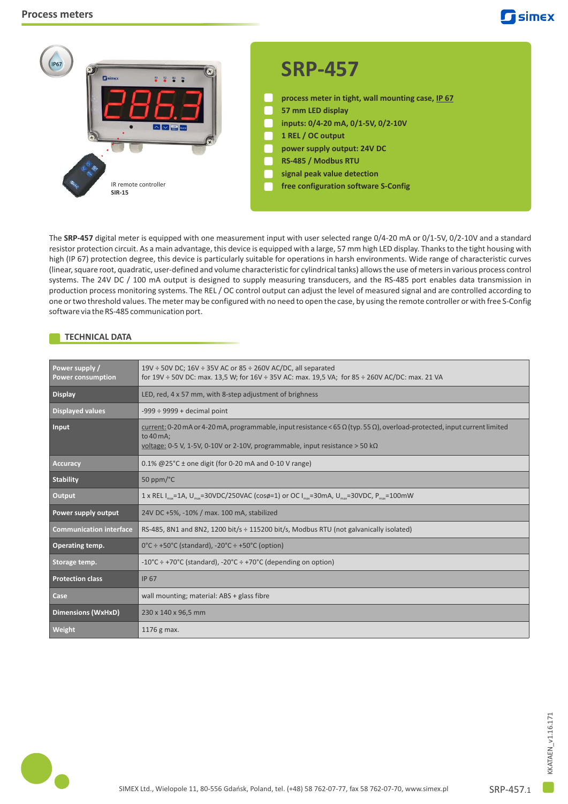

The SRP-457 digital meter is equipped with one measurement input with user selected range 0/4-20 mA or 0/1-5V, 0/2-10V and a standard resistor protection circuit. As a main advantage, this device is equipped with a large, 57 mm high LED display. Thanks to the tight housing with high (IP 67) protection degree, this device is particularly suitable for operations in harsh environments. Wide range of characteristic curves (linear, square root, quadratic, user-defined and volume characteristic for cylindrical tanks) allows the use of meters in various process control systems. The 24V DC / 100 mA output is designed to supply measuring transducers, and the RS-485 port enables data transmission in production process monitoring systems. The REL / OC control output can adjust the level of measured signal and are controlled according to one or two threshold values. The meter may be configured with no need to open the case, by using the remote controller or with free S-Config software via the RS-485 communication port.

# **TECHNICAL DATA**

| Power supply /<br><b>Power consumption</b> | 19V ÷ 50V DC; 16V ÷ 35V AC or 85 ÷ 260V AC/DC, all separated<br>for $19V \div 50V$ DC: max. 13,5 W; for $16V \div 35V$ AC: max. 19,5 VA; for 85 $\div 260V$ AC/DC: max. 21 VA                                                                   |
|--------------------------------------------|-------------------------------------------------------------------------------------------------------------------------------------------------------------------------------------------------------------------------------------------------|
| <b>Display</b>                             | LED, red, 4 x 57 mm, with 8-step adjustment of brighness                                                                                                                                                                                        |
| <b>Displayed values</b>                    | $-999 \div 9999 +$ decimal point                                                                                                                                                                                                                |
| Input                                      | current: 0-20 mA or 4-20 mA, programmable, input resistance < 65 $\Omega$ (typ. 55 $\Omega$ ), overload-protected, input current limited<br>to 40 mA:<br>voltage: 0-5 V, 1-5V, 0-10V or 2-10V, programmable, input resistance $>$ 50 k $\Omega$ |
| Accuracy                                   | $0.1\%$ @25°C ± one digit (for 0-20 mA and 0-10 V range)                                                                                                                                                                                        |
| <b>Stability</b>                           | 50 ppm/ $^{\circ}$ C                                                                                                                                                                                                                            |
| Output                                     | 1 x REL $I_{\text{max}}$ =1A, U <sub>nsx</sub> =30VDC/250VAC (cos $\varphi$ =1) or OC $I_{\text{max}}$ =30mA, U <sub>max</sub> =30VDC, P <sub>max</sub> =100mW                                                                                  |
| Power supply output                        | 24V DC +5%, -10% / max. 100 mA, stabilized                                                                                                                                                                                                      |
| <b>Communication interface</b>             | RS-485, 8N1 and 8N2, 1200 bit/s ÷ 115200 bit/s, Modbus RTU (not galvanically isolated)                                                                                                                                                          |
| Operating temp.                            | $0^{\circ}$ C ÷ +50°C (standard), -20°C ÷ +50°C (option)                                                                                                                                                                                        |
| Storage temp.                              | $-10^{\circ}$ C ÷ +70 $^{\circ}$ C (standard), $-20^{\circ}$ C ÷ +70 $^{\circ}$ C (depending on option)                                                                                                                                         |
| <b>Protection class</b>                    | <b>IP 67</b>                                                                                                                                                                                                                                    |
| Case                                       | wall mounting; material: ABS + glass fibre                                                                                                                                                                                                      |
| <b>Dimensions (WxHxD)</b>                  | 230 x 140 x 96,5 mm                                                                                                                                                                                                                             |
| Weight                                     | 1176 g max.                                                                                                                                                                                                                                     |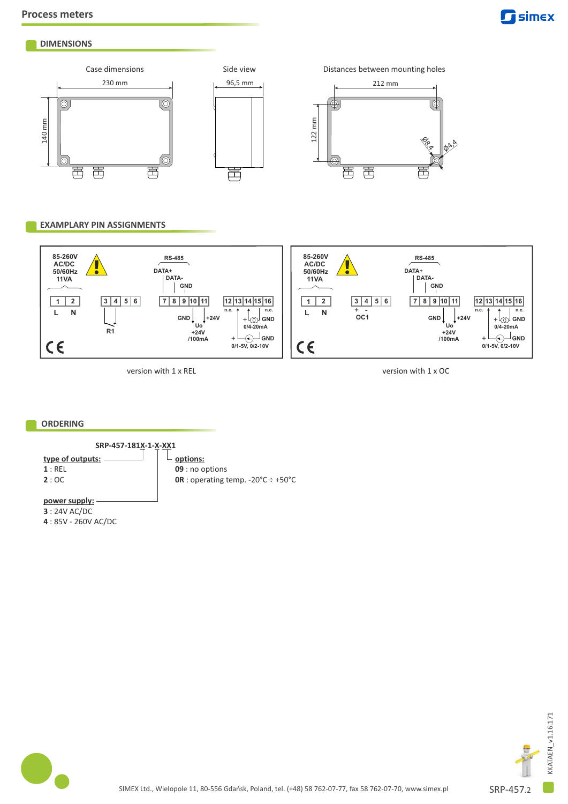

# **DIMENSIONS**





# **EXAMPLARY PIN ASSIGNMENTS**



version with 1 x REL

version with 1 x OC

 $\phi^{\mathbf{A}^{\mathbf{A}}}$ 

## **ORDERING**

**SRP-457-181X-1-X-XX1**

# **type of outputs:**

**1** : REL **2** : OC

#### $\mathbb{L}$ **options: 09** : no options **0R** : operating temp. -20°C ÷ +50°C

**power supply: 3** : 24V AC/DC

**4** : 85V - 260V AC/DC